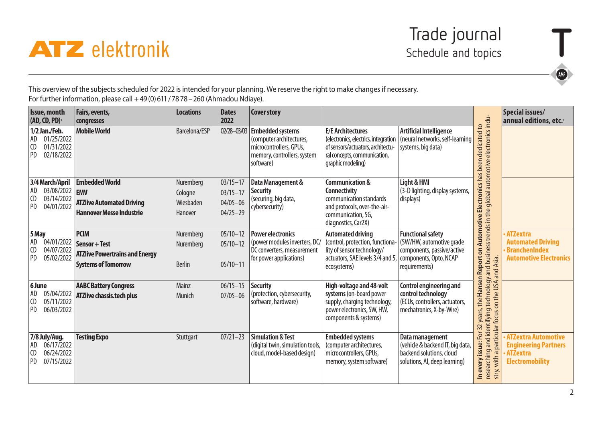



This overview of the subjects scheduled for 2022 is intended for your planning. We reserve the right to make changes if necessary. For further information, please call  $+49(0)611/7878-260$  (Ahmadou Ndiaye).

| <b>Issue, month</b><br>(AD, CD, PD)                                                                  | Fairs, events,<br>congresses                                                                        | <b>Locations</b>                             | <b>Dates</b><br>2022                                         | <b>Cover story</b>                                                                                                         |                                                                                                                                                                      |                                                                                                                    |                                                                                                                                                                                      | Special issues/<br>annual editions, etc.                                                               |
|------------------------------------------------------------------------------------------------------|-----------------------------------------------------------------------------------------------------|----------------------------------------------|--------------------------------------------------------------|----------------------------------------------------------------------------------------------------------------------------|----------------------------------------------------------------------------------------------------------------------------------------------------------------------|--------------------------------------------------------------------------------------------------------------------|--------------------------------------------------------------------------------------------------------------------------------------------------------------------------------------|--------------------------------------------------------------------------------------------------------|
| 1/2 Jan./Feb.<br>01/25/2022<br><b>AD</b><br>01/31/2022<br>ICD<br><b>PD</b><br>02/18/2022             | <b>Mobile World</b>                                                                                 | Barcelona/ESP                                | 02/28-03/03                                                  | <b>Embedded systems</b><br>(computer architectures,<br>microcontrollers, GPUs,<br>memory, controllers, system<br>software) | <b>E/E Architectures</b><br>(electronics, electrics, integration<br>of sensors/actuators, architectu-<br>ral concepts, communication,<br>qraphic modeling)           | <b>Artificial Intelligence</b><br>(neural networks, self-learning<br>systems, big data)                            | researching and identifying technology and business trends in the global automotive electronics indu-<br>32 years, the Hansen Report on Automotive Electronics has been dedicated to |                                                                                                        |
| 3/4 March/April<br>AD<br>03/08/2022 <b>EMV</b><br><b>CD</b><br>03/14/2022<br><b>PD</b><br>04/01/2022 | <b>Embedded World</b><br><b>ATZlive Automated Driving</b><br><b>Hannover Messe Industrie</b>        | Nuremberg<br>Cologne<br>Wiesbaden<br>Hanover | $03/15 - 17$<br>$03/15 - 17$<br>$04/05 - 06$<br>$04/25 - 29$ | Data Management &<br><b>Security</b><br>(securing, big data,<br>cybersecurity)                                             | Communication &<br><b>Connectivity</b><br>communication standards<br>and protocols, over-the-air-<br>communication, 5G,<br>diagnostics, Car2X)                       | Light & HMI<br>(3-D lighting, display systems,<br>displays)                                                        |                                                                                                                                                                                      |                                                                                                        |
| 5 May<br>AD<br>04/01/2022<br> CD<br>04/07/2022<br>PD<br>05/02/2022                                   | <b>PCIM</b><br>Sensor + Test<br><b>ATZlive Powertrains and Energy</b><br><b>Systems of Tomorrow</b> | Nuremberg<br>Nuremberg<br><b>Berlin</b>      | $05/10 - 12$<br>$05/10 - 12$<br>$05/10 - 11$                 | <b>Power electronics</b><br>(power modules inverters, DC/<br>DC converters, measurement<br>for power applications)         | <b>Automated driving</b><br>(control, protection, functiona-<br>lity of sensor technology/<br>actuators, SAE levels 3/4 and 5, components, Opto, NCAP<br>ecosystems) | <b>Functional safety</b><br>(SW/HW, automotive grade<br>components, passive/active<br>requirements)                |                                                                                                                                                                                      | <b>ATZextra</b><br><b>Automated Driving</b><br><b>BranchenIndex</b><br><b>Automotive Electronics</b>   |
| 6 June<br>AD<br>05/04/2022<br><b>CD</b><br>05/11/2022<br><b>PD</b><br>06/03/2022                     | <b>AABC Battery Congress</b><br><b>ATZlive chassis.tech plus</b>                                    | Mainz<br>Munich                              | $06/15 - 15$<br>$07/05 - 06$                                 | <b>Security</b><br>(protection, cybersecurity,<br>software, hardware)                                                      | High-voltage and 48-volt<br>systems (on-board power<br>supply, charging technology,<br>power electronics, SW, HW,<br>components & systems)                           | <b>Control engineering and</b><br>control technology<br>(ECUs, controllers, actuators,<br>mechatronics, X-by-Wire) | on the USA and Asia.<br>particular focus                                                                                                                                             |                                                                                                        |
| 7/8 July/Aug.<br>06/17/2022<br>  AD<br>06/24/2022<br>l CD<br><b>PD</b><br>07/15/2022                 | <b>Testing Expo</b>                                                                                 | Stuttgart                                    | $07/21 - 23$                                                 | <b>Simulation &amp; Test</b><br>(digital twin, simulation tools,<br>cloud, model-based design)                             | <b>Embedded systems</b><br>(computer architectures,<br>microcontrollers, GPUs,<br>memory, system software)                                                           | Data management<br>(vehicle & backend IT, big data,<br>backend solutions, cloud<br>solutions, AI, deep learning)   | For:<br>In every issue:<br>with a<br>stry,                                                                                                                                           | <b>ATZextra Automotive</b><br><b>Engineering Partners</b><br><b>ATZextra</b><br><b>Electromobility</b> |